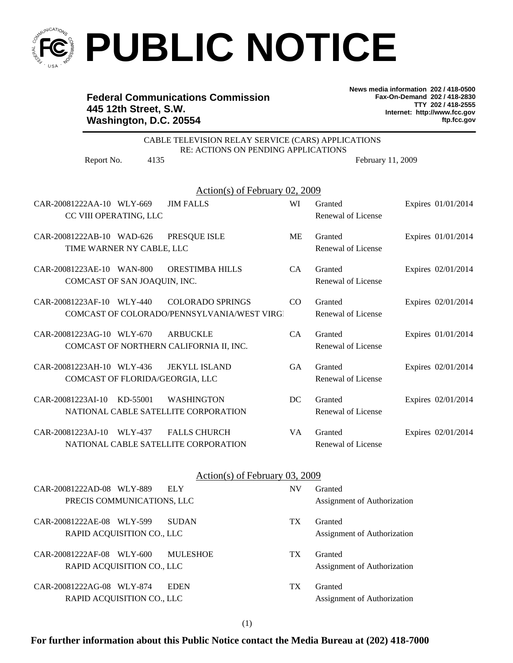

## **PUBLIC NOTICE**

## **Federal Communications Commission 445 12th Street, S.W. Washington, D.C. 20554**

**News media information 202 / 418-0500 Fax-On-Demand 202 / 418-2830 TTY 202 / 418-2555 Internet: http://www.fcc.gov ftp.fcc.gov**

| CABLE TELEVISION RELAY SERVICE (CARS) APPLICATIONS<br>RE: ACTIONS ON PENDING APPLICATIONS |           |                             |                    |  |  |
|-------------------------------------------------------------------------------------------|-----------|-----------------------------|--------------------|--|--|
| 4135<br>Report No.                                                                        |           | February 11, 2009           |                    |  |  |
| Action(s) of February 02, 2009                                                            |           |                             |                    |  |  |
| CAR-20081222AA-10 WLY-669<br><b>JIM FALLS</b>                                             | WI        | Granted                     | Expires 01/01/2014 |  |  |
| CC VIII OPERATING, LLC                                                                    |           | Renewal of License          |                    |  |  |
| CAR-20081222AB-10 WAD-626<br>PRESQUE ISLE                                                 | <b>ME</b> | Granted                     | Expires 01/01/2014 |  |  |
| TIME WARNER NY CABLE, LLC                                                                 |           | Renewal of License          |                    |  |  |
| CAR-20081223AE-10 WAN-800<br><b>ORESTIMBA HILLS</b>                                       | CA        | Granted                     | Expires 02/01/2014 |  |  |
| COMCAST OF SAN JOAQUIN, INC.                                                              |           | Renewal of License          |                    |  |  |
| CAR-20081223AF-10 WLY-440<br><b>COLORADO SPRINGS</b>                                      | $\rm CO$  | Granted                     | Expires 02/01/2014 |  |  |
| COMCAST OF COLORADO/PENNSYLVANIA/WEST VIRGI                                               |           | Renewal of License          |                    |  |  |
| CAR-20081223AG-10 WLY-670<br><b>ARBUCKLE</b>                                              | CA        | Granted                     | Expires 01/01/2014 |  |  |
| COMCAST OF NORTHERN CALIFORNIA II, INC.                                                   |           | Renewal of License          |                    |  |  |
| <b>JEKYLL ISLAND</b><br>CAR-20081223AH-10 WLY-436                                         | GA        | Granted                     | Expires 02/01/2014 |  |  |
| COMCAST OF FLORIDA/GEORGIA, LLC                                                           |           | Renewal of License          |                    |  |  |
| <b>WASHINGTON</b><br>CAR-20081223AI-10 KD-55001                                           | DC        | Granted                     | Expires 02/01/2014 |  |  |
| NATIONAL CABLE SATELLITE CORPORATION                                                      |           | Renewal of License          |                    |  |  |
| CAR-20081223AJ-10 WLY-437<br><b>FALLS CHURCH</b>                                          | VA        | Granted                     | Expires 02/01/2014 |  |  |
| NATIONAL CABLE SATELLITE CORPORATION                                                      |           | Renewal of License          |                    |  |  |
|                                                                                           |           |                             |                    |  |  |
| Action(s) of February 03, 2009                                                            |           |                             |                    |  |  |
| CAR-20081222AD-08 WLY-889<br><b>ELY</b><br>PRECIS COMMUNICATIONS, LLC                     | NV        | Granted                     |                    |  |  |
|                                                                                           |           | Assignment of Authorization |                    |  |  |
| CAR-20081222AE-08 WLY-599<br><b>SUDAN</b>                                                 | TX        | Granted                     |                    |  |  |
| RAPID ACQUISITION CO., LLC                                                                |           | Assignment of Authorization |                    |  |  |
| CAR-20081222AF-08 WLY-600<br><b>MULESHOE</b>                                              | TX        | Granted                     |                    |  |  |
| RAPID ACQUISITION CO., LLC                                                                |           | Assignment of Authorization |                    |  |  |
|                                                                                           |           |                             |                    |  |  |

CAR-20081222AG-08 WLY-874 EDEN TX RAPID ACQUISITION CO., LLC Assignment of Authorization

Granted

**For further information about this Public Notice contact the Media Bureau at (202) 418-7000**